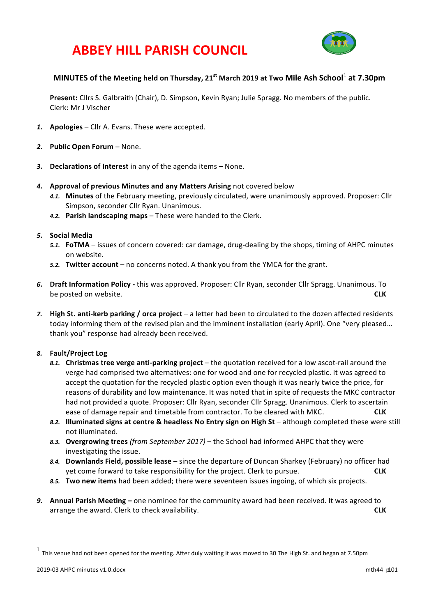# **ABBEY HILL PARISH COUNCIL**



## **MINUTES** of the Meeting held on Thursday, 21<sup>st</sup> March 2019 at Two Mile Ash School<sup>1</sup> at 7.30pm

**Present:** Cllrs S. Galbraith (Chair), D. Simpson, Kevin Ryan; Julie Spragg. No members of the public. Clerk: Mr J Vischer

- 1. **Apologies** Cllr A. Evans. These were accepted.
- 2. Public Open Forum None.
- 3. **Declarations of Interest** in any of the agenda items None.
- **4.** Approval of previous Minutes and any Matters Arising not covered below
	- 4.1. Minutes of the February meeting, previously circulated, were unanimously approved. Proposer: Cllr Simpson, seconder Cllr Ryan. Unanimous.
	- 4.2. Parish landscaping maps These were handed to the Clerk.
- *5.* **Social Media**
	- 5.1. **FoTMA** issues of concern covered: car damage, drug-dealing by the shops, timing of AHPC minutes on website.
	- **5.2. Twitter account** no concerns noted. A thank you from the YMCA for the grant.
- 6. Draft Information Policy this was approved. Proposer: Cllr Ryan, seconder Cllr Spragg. Unanimous. To be posted on website. **CLK**
- 7. **High St. anti-kerb parking / orca project** a letter had been to circulated to the dozen affected residents today informing them of the revised plan and the imminent installation (early April). One "very pleased... thank you" response had already been received.

### *8.* **Fault/Project Log**

- 8.1. **Christmas tree verge anti-parking project** the quotation received for a low ascot-rail around the verge had comprised two alternatives: one for wood and one for recycled plastic. It was agreed to accept the quotation for the recycled plastic option even though it was nearly twice the price, for reasons of durability and low maintenance. It was noted that in spite of requests the MKC contractor had not provided a quote. Proposer: Cllr Ryan, seconder Cllr Spragg. Unanimous. Clerk to ascertain ease of damage repair and timetable from contractor. To be cleared with MKC. **CLK**
- 8.2. **Illuminated signs at centre & headless No Entry sign on High St** although completed these were still not illuminated.
- 8.3. Overgrowing trees (from September 2017) the School had informed AHPC that they were investigating the issue.
- 8.4. **Downlands Field, possible lease** since the departure of Duncan Sharkey (February) no officer had yet come forward to take responsibility for the project. Clerk to pursue. **CLK**
- 8.5. **Two new items** had been added; there were seventeen issues ingoing, of which six projects.
- **9.** Annual Parish Meeting one nominee for the community award had been received. It was agreed to arrange the award. Clerk to check availability. **CLK** and the state of the state of the state of the state of the state of the state of the state of the state of the state of the state of the state of the state of the stat

This venue had not been opened for the meeting. After duly waiting it was moved to 30 The High St. and began at 7.50pm